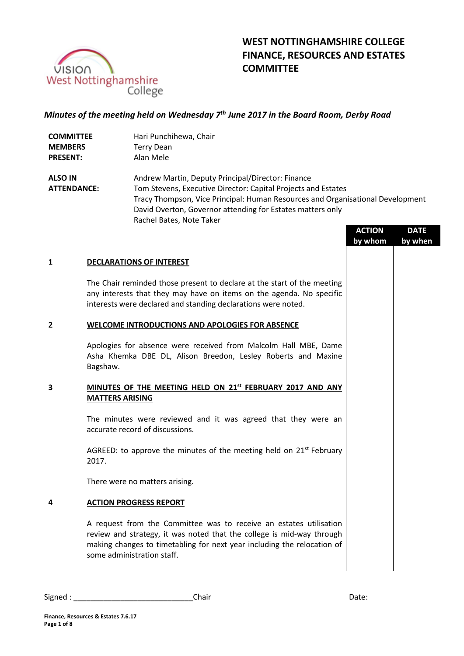

# **WEST NOTTINGHAMSHIRE COLLEGE FINANCE, RESOURCES AND ESTATES COMMITTEE**

# *Minutes of the meeting held on Wednesday 7 th June 2017 in the Board Room, Derby Road*

| <b>COMMITTEE</b> | Hari Punchihewa, Chair |
|------------------|------------------------|
| <b>MEMBERS</b>   | <b>Terry Dean</b>      |
| <b>PRESENT:</b>  | Alan Mele              |

**ALSO IN ATTENDANCE:** Andrew Martin, Deputy Principal/Director: Finance Tom Stevens, Executive Director: Capital Projects and Estates Tracy Thompson, Vice Principal: Human Resources and Organisational Development David Overton, Governor attending for Estates matters only Rachel Bates, Note Taker

|   |                                                                                                                                                                                                                                                      | <b>ACTION</b><br>by whom | <b>DATE</b><br>by when |
|---|------------------------------------------------------------------------------------------------------------------------------------------------------------------------------------------------------------------------------------------------------|--------------------------|------------------------|
| 1 | <b>DECLARATIONS OF INTEREST</b>                                                                                                                                                                                                                      |                          |                        |
|   | The Chair reminded those present to declare at the start of the meeting<br>any interests that they may have on items on the agenda. No specific<br>interests were declared and standing declarations were noted.                                     |                          |                        |
| 2 | WELCOME INTRODUCTIONS AND APOLOGIES FOR ABSENCE                                                                                                                                                                                                      |                          |                        |
|   | Apologies for absence were received from Malcolm Hall MBE, Dame<br>Asha Khemka DBE DL, Alison Breedon, Lesley Roberts and Maxine<br>Bagshaw.                                                                                                         |                          |                        |
| 3 | MINUTES OF THE MEETING HELD ON 21st FEBRUARY 2017 AND ANY<br><b>MATTERS ARISING</b>                                                                                                                                                                  |                          |                        |
|   | The minutes were reviewed and it was agreed that they were an<br>accurate record of discussions.                                                                                                                                                     |                          |                        |
|   | AGREED: to approve the minutes of the meeting held on $21^{st}$ February<br>2017.                                                                                                                                                                    |                          |                        |
|   | There were no matters arising.                                                                                                                                                                                                                       |                          |                        |
| 4 | <b>ACTION PROGRESS REPORT</b>                                                                                                                                                                                                                        |                          |                        |
|   | A request from the Committee was to receive an estates utilisation<br>review and strategy, it was noted that the college is mid-way through<br>making changes to timetabling for next year including the relocation of<br>some administration staff. |                          |                        |
|   |                                                                                                                                                                                                                                                      |                          |                        |

Signed : \_\_\_\_\_\_\_\_\_\_\_\_\_\_\_\_\_\_\_\_\_\_\_\_\_\_\_\_Chair Date: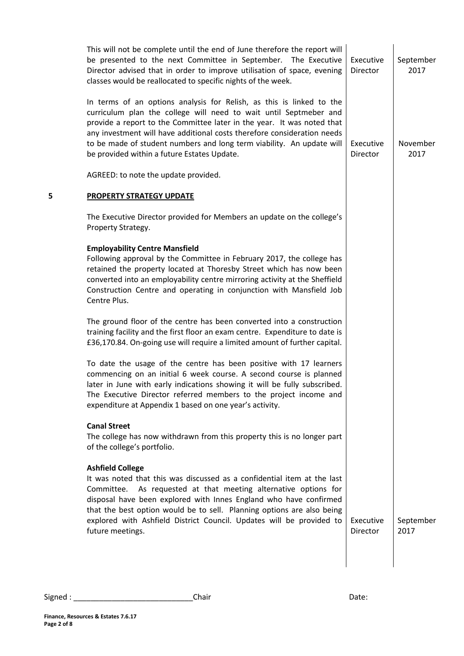|   | This will not be complete until the end of June therefore the report will<br>be presented to the next Committee in September. The Executive<br>Director advised that in order to improve utilisation of space, evening<br>classes would be reallocated to specific nights of the week.                                                                                                                                 | Executive<br>Director | September<br>2017 |
|---|------------------------------------------------------------------------------------------------------------------------------------------------------------------------------------------------------------------------------------------------------------------------------------------------------------------------------------------------------------------------------------------------------------------------|-----------------------|-------------------|
|   | In terms of an options analysis for Relish, as this is linked to the<br>curriculum plan the college will need to wait until Septmeber and<br>provide a report to the Committee later in the year. It was noted that<br>any investment will have additional costs therefore consideration needs<br>to be made of student numbers and long term viability. An update will<br>be provided within a future Estates Update. | Executive<br>Director | November<br>2017  |
|   | AGREED: to note the update provided.                                                                                                                                                                                                                                                                                                                                                                                   |                       |                   |
| 5 | <b>PROPERTY STRATEGY UPDATE</b>                                                                                                                                                                                                                                                                                                                                                                                        |                       |                   |
|   | The Executive Director provided for Members an update on the college's<br>Property Strategy.                                                                                                                                                                                                                                                                                                                           |                       |                   |
|   | <b>Employability Centre Mansfield</b><br>Following approval by the Committee in February 2017, the college has<br>retained the property located at Thoresby Street which has now been<br>converted into an employability centre mirroring activity at the Sheffield<br>Construction Centre and operating in conjunction with Mansfield Job<br>Centre Plus.                                                             |                       |                   |
|   | The ground floor of the centre has been converted into a construction<br>training facility and the first floor an exam centre. Expenditure to date is<br>£36,170.84. On-going use will require a limited amount of further capital.                                                                                                                                                                                    |                       |                   |
|   | To date the usage of the centre has been positive with 17 learners<br>commencing on an initial 6 week course. A second course is planned<br>later in June with early indications showing it will be fully subscribed.<br>The Executive Director referred members to the project income and<br>expenditure at Appendix 1 based on one year's activity.                                                                  |                       |                   |
|   | <b>Canal Street</b><br>The college has now withdrawn from this property this is no longer part<br>of the college's portfolio.                                                                                                                                                                                                                                                                                          |                       |                   |
|   | <b>Ashfield College</b><br>It was noted that this was discussed as a confidential item at the last<br>Committee. As requested at that meeting alternative options for<br>disposal have been explored with Innes England who have confirmed<br>that the best option would be to sell. Planning options are also being<br>explored with Ashfield District Council. Updates will be provided to<br>future meetings.       | Executive<br>Director | September<br>2017 |
|   |                                                                                                                                                                                                                                                                                                                                                                                                                        |                       |                   |

Signed : \_\_\_\_\_\_\_\_\_\_\_\_\_\_\_\_\_\_\_\_\_\_\_\_\_\_\_\_Chair Date: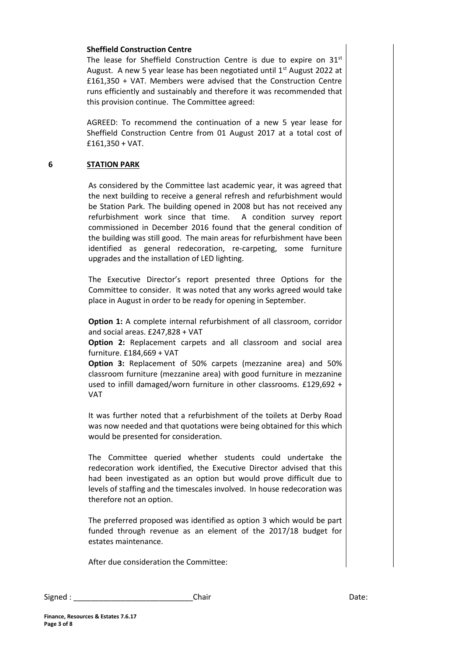#### **Sheffield Construction Centre**

The lease for Sheffield Construction Centre is due to expire on 31<sup>st</sup> August. A new 5 year lease has been negotiated until 1<sup>st</sup> August 2022 at £161,350 + VAT. Members were advised that the Construction Centre runs efficiently and sustainably and therefore it was recommended that this provision continue. The Committee agreed:

AGREED: To recommend the continuation of a new 5 year lease for Sheffield Construction Centre from 01 August 2017 at a total cost of £161,350 + VAT.

# **6 STATION PARK**

As considered by the Committee last academic year, it was agreed that the next building to receive a general refresh and refurbishment would be Station Park. The building opened in 2008 but has not received any refurbishment work since that time. A condition survey report commissioned in December 2016 found that the general condition of the building was still good. The main areas for refurbishment have been identified as general redecoration, re-carpeting, some furniture upgrades and the installation of LED lighting.

The Executive Director's report presented three Options for the Committee to consider. It was noted that any works agreed would take place in August in order to be ready for opening in September.

**Option 1:** A complete internal refurbishment of all classroom, corridor and social areas. £247,828 + VAT

**Option 2:** Replacement carpets and all classroom and social area furniture. £184,669 + VAT

**Option 3:** Replacement of 50% carpets (mezzanine area) and 50% classroom furniture (mezzanine area) with good furniture in mezzanine used to infill damaged/worn furniture in other classrooms. £129,692 + VAT

It was further noted that a refurbishment of the toilets at Derby Road was now needed and that quotations were being obtained for this which would be presented for consideration.

The Committee queried whether students could undertake the redecoration work identified, the Executive Director advised that this had been investigated as an option but would prove difficult due to levels of staffing and the timescales involved. In house redecoration was therefore not an option.

The preferred proposed was identified as option 3 which would be part funded through revenue as an element of the 2017/18 budget for estates maintenance.

After due consideration the Committee:

| Signed: | .hair | Date: |
|---------|-------|-------|
|---------|-------|-------|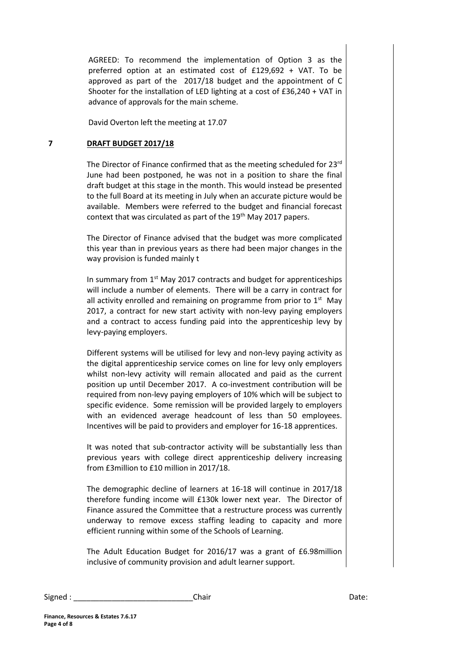AGREED: To recommend the implementation of Option 3 as the preferred option at an estimated cost of £129,692 + VAT. To be approved as part of the 2017/18 budget and the appointment of C Shooter for the installation of LED lighting at a cost of £36,240 + VAT in advance of approvals for the main scheme.

David Overton left the meeting at 17.07

# **7 DRAFT BUDGET 2017/18**

The Director of Finance confirmed that as the meeting scheduled for 23<sup>rd</sup> June had been postponed, he was not in a position to share the final draft budget at this stage in the month. This would instead be presented to the full Board at its meeting in July when an accurate picture would be available. Members were referred to the budget and financial forecast context that was circulated as part of the 19<sup>th</sup> May 2017 papers.

The Director of Finance advised that the budget was more complicated this year than in previous years as there had been major changes in the way provision is funded mainly t

In summary from 1<sup>st</sup> May 2017 contracts and budget for apprenticeships will include a number of elements. There will be a carry in contract for all activity enrolled and remaining on programme from prior to  $1<sup>st</sup>$  May 2017, a contract for new start activity with non-levy paying employers and a contract to access funding paid into the apprenticeship levy by levy-paying employers.

Different systems will be utilised for levy and non-levy paying activity as the digital apprenticeship service comes on line for levy only employers whilst non-levy activity will remain allocated and paid as the current position up until December 2017. A co-investment contribution will be required from non-levy paying employers of 10% which will be subject to specific evidence. Some remission will be provided largely to employers with an evidenced average headcount of less than 50 employees. Incentives will be paid to providers and employer for 16-18 apprentices.

It was noted that sub-contractor activity will be substantially less than previous years with college direct apprenticeship delivery increasing from £3million to £10 million in 2017/18.

The demographic decline of learners at 16-18 will continue in 2017/18 therefore funding income will £130k lower next year. The Director of Finance assured the Committee that a restructure process was currently underway to remove excess staffing leading to capacity and more efficient running within some of the Schools of Learning.

The Adult Education Budget for 2016/17 was a grant of £6.98million inclusive of community provision and adult learner support.

Signed : \_\_\_\_\_\_\_\_\_\_\_\_\_\_\_\_\_\_\_\_\_\_\_\_\_\_\_\_Chair Date: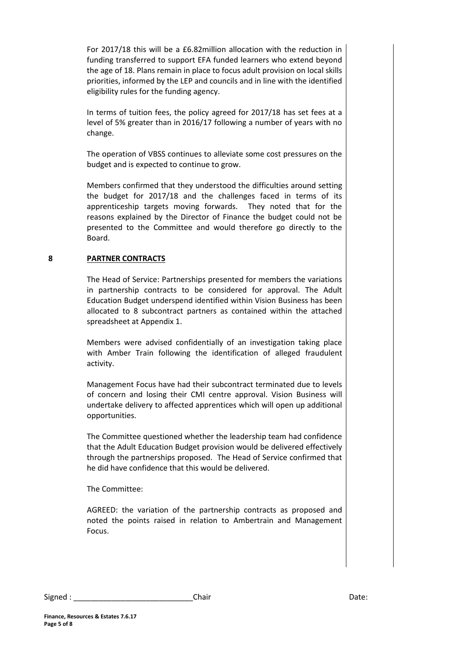For 2017/18 this will be a £6.82million allocation with the reduction in funding transferred to support EFA funded learners who extend beyond the age of 18. Plans remain in place to focus adult provision on local skills priorities, informed by the LEP and councils and in line with the identified eligibility rules for the funding agency.

In terms of tuition fees, the policy agreed for 2017/18 has set fees at a level of 5% greater than in 2016/17 following a number of years with no change.

The operation of VBSS continues to alleviate some cost pressures on the budget and is expected to continue to grow.

Members confirmed that they understood the difficulties around setting the budget for 2017/18 and the challenges faced in terms of its apprenticeship targets moving forwards. They noted that for the reasons explained by the Director of Finance the budget could not be presented to the Committee and would therefore go directly to the Board.

# **8 PARTNER CONTRACTS**

The Head of Service: Partnerships presented for members the variations in partnership contracts to be considered for approval. The Adult Education Budget underspend identified within Vision Business has been allocated to 8 subcontract partners as contained within the attached spreadsheet at Appendix 1.

Members were advised confidentially of an investigation taking place with Amber Train following the identification of alleged fraudulent activity.

Management Focus have had their subcontract terminated due to levels of concern and losing their CMI centre approval. Vision Business will undertake delivery to affected apprentices which will open up additional opportunities.

The Committee questioned whether the leadership team had confidence that the Adult Education Budget provision would be delivered effectively through the partnerships proposed. The Head of Service confirmed that he did have confidence that this would be delivered.

The Committee:

AGREED: the variation of the partnership contracts as proposed and noted the points raised in relation to Ambertrain and Management Focus.

| Signed: | .hair | Date: |
|---------|-------|-------|
|---------|-------|-------|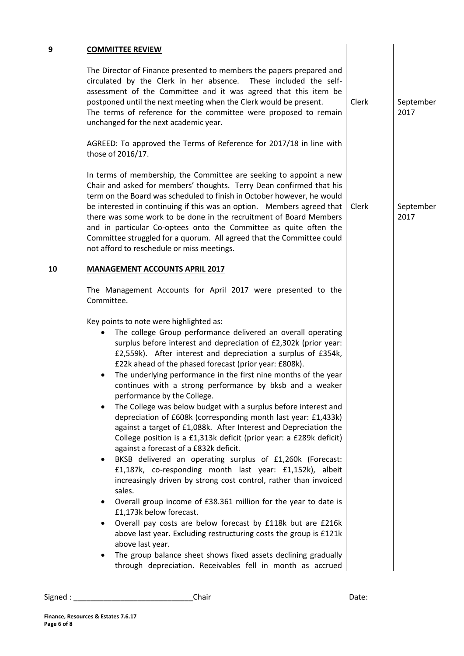The Director of Finance presented to members the papers prepared and circulated by the Clerk in her absence. These included the selfassessment of the Committee and it was agreed that this item be postponed until the next meeting when the Clerk would be present. The terms of reference for the committee were proposed to remain unchanged for the next academic year. Clerk

AGREED: To approved the Terms of Reference for 2017/18 in line with those of 2016/17.

In terms of membership, the Committee are seeking to appoint a new Chair and asked for members' thoughts. Terry Dean confirmed that his term on the Board was scheduled to finish in October however, he would be interested in continuing if this was an option. Members agreed that there was some work to be done in the recruitment of Board Members and in particular Co-optees onto the Committee as quite often the Committee struggled for a quorum. All agreed that the Committee could not afford to reschedule or miss meetings. Clerk

#### **10 MANAGEMENT ACCOUNTS APRIL 2017**

The Management Accounts for April 2017 were presented to the Committee.

Key points to note were highlighted as:

- The college Group performance delivered an overall operating surplus before interest and depreciation of £2,302k (prior year: £2,559k). After interest and depreciation a surplus of £354k, £22k ahead of the phased forecast (prior year: £808k).
- The underlying performance in the first nine months of the year continues with a strong performance by bksb and a weaker performance by the College.
- The College was below budget with a surplus before interest and depreciation of £608k (corresponding month last year: £1,433k) against a target of £1,088k. After Interest and Depreciation the College position is a £1,313k deficit (prior year: a £289k deficit) against a forecast of a £832k deficit.
- BKSB delivered an operating surplus of £1,260k (Forecast: £1,187k, co-responding month last year: £1,152k), albeit increasingly driven by strong cost control, rather than invoiced sales.
- Overall group income of £38.361 million for the year to date is £1,173k below forecast.
- Overall pay costs are below forecast by £118k but are £216k above last year. Excluding restructuring costs the group is £121k above last year.
- The group balance sheet shows fixed assets declining gradually through depreciation. Receivables fell in month as accrued

```
Signed : ____________________________Chair Date:
```
September 2017

September 2017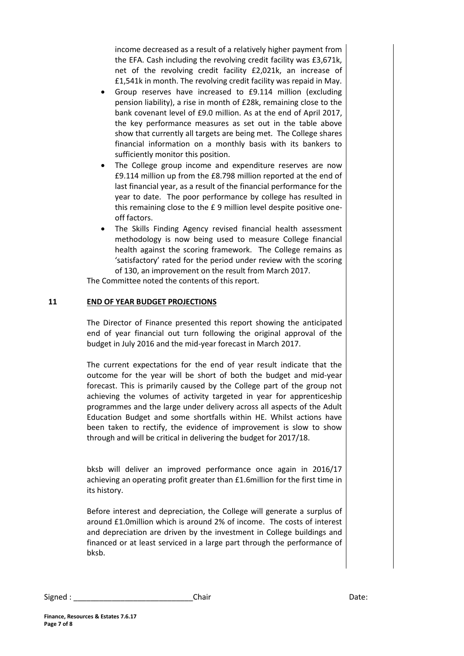income decreased as a result of a relatively higher payment from the EFA. Cash including the revolving credit facility was £3,671k, net of the revolving credit facility £2,021k, an increase of £1,541k in month. The revolving credit facility was repaid in May.

- Group reserves have increased to £9.114 million (excluding pension liability), a rise in month of £28k, remaining close to the bank covenant level of £9.0 million. As at the end of April 2017, the key performance measures as set out in the table above show that currently all targets are being met. The College shares financial information on a monthly basis with its bankers to sufficiently monitor this position.
- The College group income and expenditure reserves are now £9.114 million up from the £8.798 million reported at the end of last financial year, as a result of the financial performance for the year to date. The poor performance by college has resulted in this remaining close to the £ 9 million level despite positive oneoff factors.
- The Skills Finding Agency revised financial health assessment methodology is now being used to measure College financial health against the scoring framework. The College remains as 'satisfactory' rated for the period under review with the scoring of 130, an improvement on the result from March 2017.

The Committee noted the contents of this report.

# **11 END OF YEAR BUDGET PROJECTIONS**

The Director of Finance presented this report showing the anticipated end of year financial out turn following the original approval of the budget in July 2016 and the mid-year forecast in March 2017.

The current expectations for the end of year result indicate that the outcome for the year will be short of both the budget and mid-year forecast. This is primarily caused by the College part of the group not achieving the volumes of activity targeted in year for apprenticeship programmes and the large under delivery across all aspects of the Adult Education Budget and some shortfalls within HE. Whilst actions have been taken to rectify, the evidence of improvement is slow to show through and will be critical in delivering the budget for 2017/18.

bksb will deliver an improved performance once again in 2016/17 achieving an operating profit greater than £1.6million for the first time in its history.

Before interest and depreciation, the College will generate a surplus of around £1.0million which is around 2% of income. The costs of interest and depreciation are driven by the investment in College buildings and financed or at least serviced in a large part through the performance of bksb.

| Signed | Chair | Date: |
|--------|-------|-------|
|--------|-------|-------|